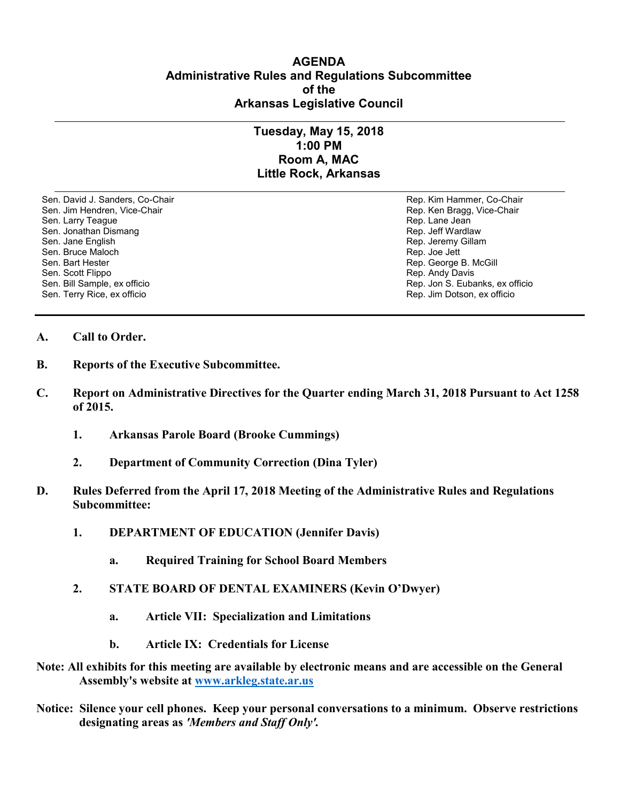## **AGENDA Administrative Rules and Regulations Subcommittee of the Arkansas Legislative Council**

## **Tuesday, May 15, 2018 1:00 PM Room A, MAC Little Rock, Arkansas**

Sen. David J. Sanders, Co-Chair **Rep. Access 1999** Rep. Kim Hammer, Co-Chair Sen. Jim Hendren, Vice-Chair **Rep. Access 1999** Rep. Ken Bragg, Vice-Chair Sen. Larry Teague **Rep. Lane Jean**<br>
Sen. Jonathan Dismang **Rep. 2009**<br>
Rep. Jeff Wardlaw Sen. Jonathan Dismang Sen. Jane English Rep. Jeremy Gillam Sen. Bruce Maloch Rep. Joe Jett Sen. Bruce Maloch Rep. Joe Jett Rep. Joe Jett Rep. Joe Jett Rep. Joe Jett Sen. Bart Hester Sen. Bart Hester Sen. Bart Hester Sen. Bart Hester Sen. Bart Hester Sen. Bart Hester Sen. Behalt Bart Sen. Beh<br>Sen. Scott Flippo Sen. Scott Flippo **Rep. Andy Davis**<br>
Sen. Bill Sample, ex officio **Rep. Andy Davis**<br>
Sen. Bill Sample, ex officio Sen. Terry Rice, ex officio Rep. Jim Dotson, ex officio

Rep. Jon S. Eubanks, ex officio

- **A. Call to Order.**
- **B. Reports of the Executive Subcommittee.**
- **C. Report on Administrative Directives for the Quarter ending March 31, 2018 Pursuant to Act 1258 of 2015.**
	- **1. Arkansas Parole Board (Brooke Cummings)**
	- **2. Department of Community Correction (Dina Tyler)**
- **D. Rules Deferred from the April 17, 2018 Meeting of the Administrative Rules and Regulations Subcommittee:**
	- **1. DEPARTMENT OF EDUCATION (Jennifer Davis)**
		- **a. Required Training for School Board Members**
	- **2. STATE BOARD OF DENTAL EXAMINERS (Kevin O'Dwyer)**
		- **a. Article VII: Specialization and Limitations**
		- **b. Article IX: Credentials for License**
- **Note: All exhibits for this meeting are available by electronic means and are accessible on the General Assembly's website at [www.arkleg.state.ar.us](http://www.arkleg.state.ar.us)**
- **Notice: Silence your cell phones. Keep your personal conversations to a minimum. Observe restrictions designating areas as** *'Members and Staff Only'.*